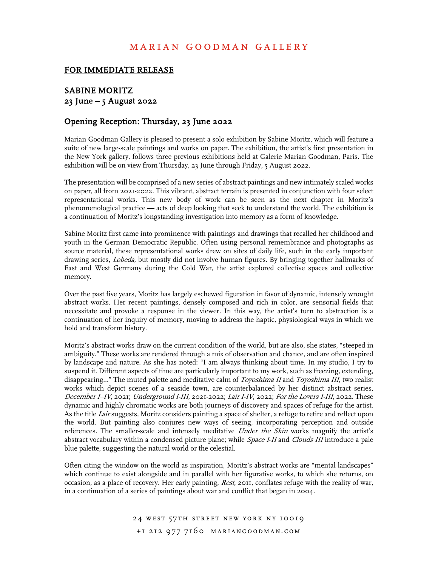# marian goodman gallery

#### FOR IMMEDIATE RELEASE

## SABINE MORITZ 23 June – 5 August 2022

#### Opening Reception: Thursday, 23 June 2022

Marian Goodman Gallery is pleased to present a solo exhibition by Sabine Moritz, which will feature a suite of new large-scale paintings and works on paper. The exhibition, the artist's first presentation in the New York gallery, follows three previous exhibitions held at Galerie Marian Goodman, Paris. The exhibition will be on view from Thursday, 23 June through Friday, 5 August 2022.

The presentation will be comprised of a new series of abstract paintings and new intimately scaled works on paper, all from 2021-2022. This vibrant, abstract terrain is presented in conjunction with four select representational works. This new body of work can be seen as the next chapter in Moritz's phenomenological practice –– acts of deep looking that seek to understand the world. The exhibition is a continuation of Moritz's longstanding investigation into memory as a form of knowledge.

Sabine Moritz first came into prominence with paintings and drawings that recalled her childhood and youth in the German Democratic Republic. Often using personal remembrance and photographs as source material, these representational works drew on sites of daily life, such in the early important drawing series, Lobeda, but mostly did not involve human figures. By bringing together hallmarks of East and West Germany during the Cold War, the artist explored collective spaces and collective memory.

Over the past five years, Moritz has largely eschewed figuration in favor of dynamic, intensely wrought abstract works. Her recent paintings, densely composed and rich in color, are sensorial fields that necessitate and provoke a response in the viewer. In this way, the artist's turn to abstraction is a continuation of her inquiry of memory, moving to address the haptic, physiological ways in which we hold and transform history.

Moritz's abstract works draw on the current condition of the world, but are also, she states, "steeped in ambiguity." These works are rendered through a mix of observation and chance, and are often inspired by landscape and nature. As she has noted: "I am always thinking about time. In my studio, I try to suspend it. Different aspects of time are particularly important to my work, such as freezing, extending, disappearing..." The muted palette and meditative calm of Toyoshima II and Toyoshima III, two realist works which depict scenes of a seaside town, are counterbalanced by her distinct abstract series, December I–IV, 2021; Underground I-III, 2021-2022; Lair I-IV, 2022; For the Lovers I-III, 2022. These dynamic and highly chromatic works are both journeys of discovery and spaces of refuge for the artist. As the title Lair suggests, Moritz considers painting a space of shelter, a refuge to retire and reflect upon the world. But painting also conjures new ways of seeing, incorporating perception and outside references. The smaller-scale and intensely meditative Under the Skin works magnify the artist's abstract vocabulary within a condensed picture plane; while Space I-II and Clouds III introduce a pale blue palette, suggesting the natural world or the celestial.

Often citing the window on the world as inspiration, Moritz's abstract works are "mental landscapes" which continue to exist alongside and in parallel with her figurative works, to which she returns, on occasion, as a place of recovery. Her early painting, Rest, 2011, conflates refuge with the reality of war, in a continuation of a series of paintings about war and conflict that began in 2004.

> 24 WEST 57TH STREET NEW YORK NY 10019 +1 212 977 7160 mariangoodman.com